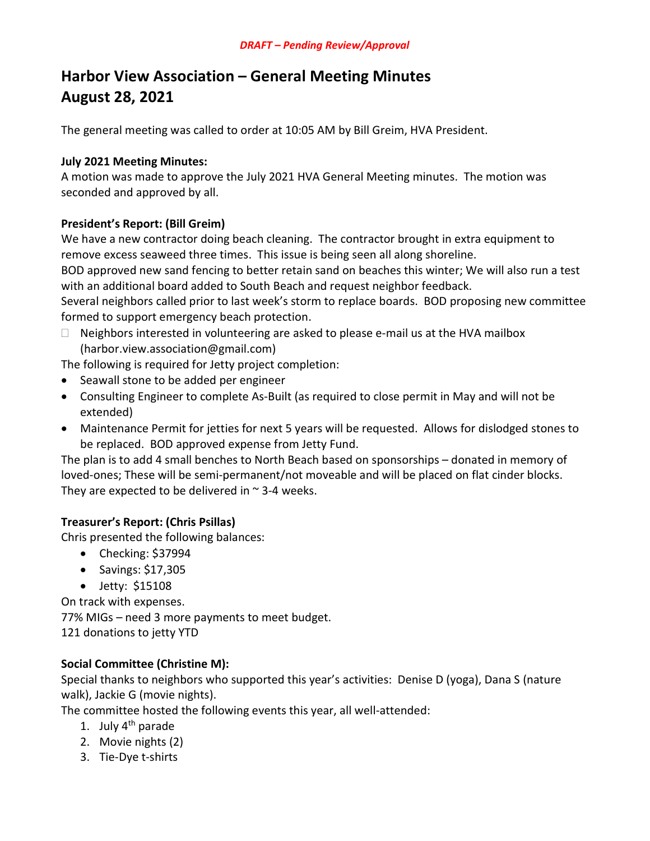# Harbor View Association – General Meeting Minutes August 28, 2021

The general meeting was called to order at 10:05 AM by Bill Greim, HVA President.

#### July 2021 Meeting Minutes:

A motion was made to approve the July 2021 HVA General Meeting minutes. The motion was seconded and approved by all.

#### President's Report: (Bill Greim)

We have a new contractor doing beach cleaning. The contractor brought in extra equipment to remove excess seaweed three times. This issue is being seen all along shoreline.

BOD approved new sand fencing to better retain sand on beaches this winter; We will also run a test with an additional board added to South Beach and request neighbor feedback.

Several neighbors called prior to last week's storm to replace boards. BOD proposing new committee formed to support emergency beach protection.

 $\Box$  Neighbors interested in volunteering are asked to please e-mail us at the HVA mailbox (harbor.view.association@gmail.com)

The following is required for Jetty project completion:

- Seawall stone to be added per engineer
- Consulting Engineer to complete As-Built (as required to close permit in May and will not be extended)
- Maintenance Permit for jetties for next 5 years will be requested. Allows for dislodged stones to be replaced. BOD approved expense from Jetty Fund.

The plan is to add 4 small benches to North Beach based on sponsorships – donated in memory of loved-ones; These will be semi-permanent/not moveable and will be placed on flat cinder blocks. They are expected to be delivered in  $\sim$  3-4 weeks.

# Treasurer's Report: (Chris Psillas)

Chris presented the following balances:

- Checking: \$37994
- $\bullet$  Savings: \$17,305
- Jetty: \$15108

On track with expenses. 77% MIGs – need 3 more payments to meet budget. 121 donations to jetty YTD

#### Social Committee (Christine M):

Special thanks to neighbors who supported this year's activities: Denise D (yoga), Dana S (nature walk), Jackie G (movie nights).

The committee hosted the following events this year, all well-attended:

- 1. July  $4<sup>th</sup>$  parade
- 2. Movie nights (2)
- 3. Tie-Dye t-shirts